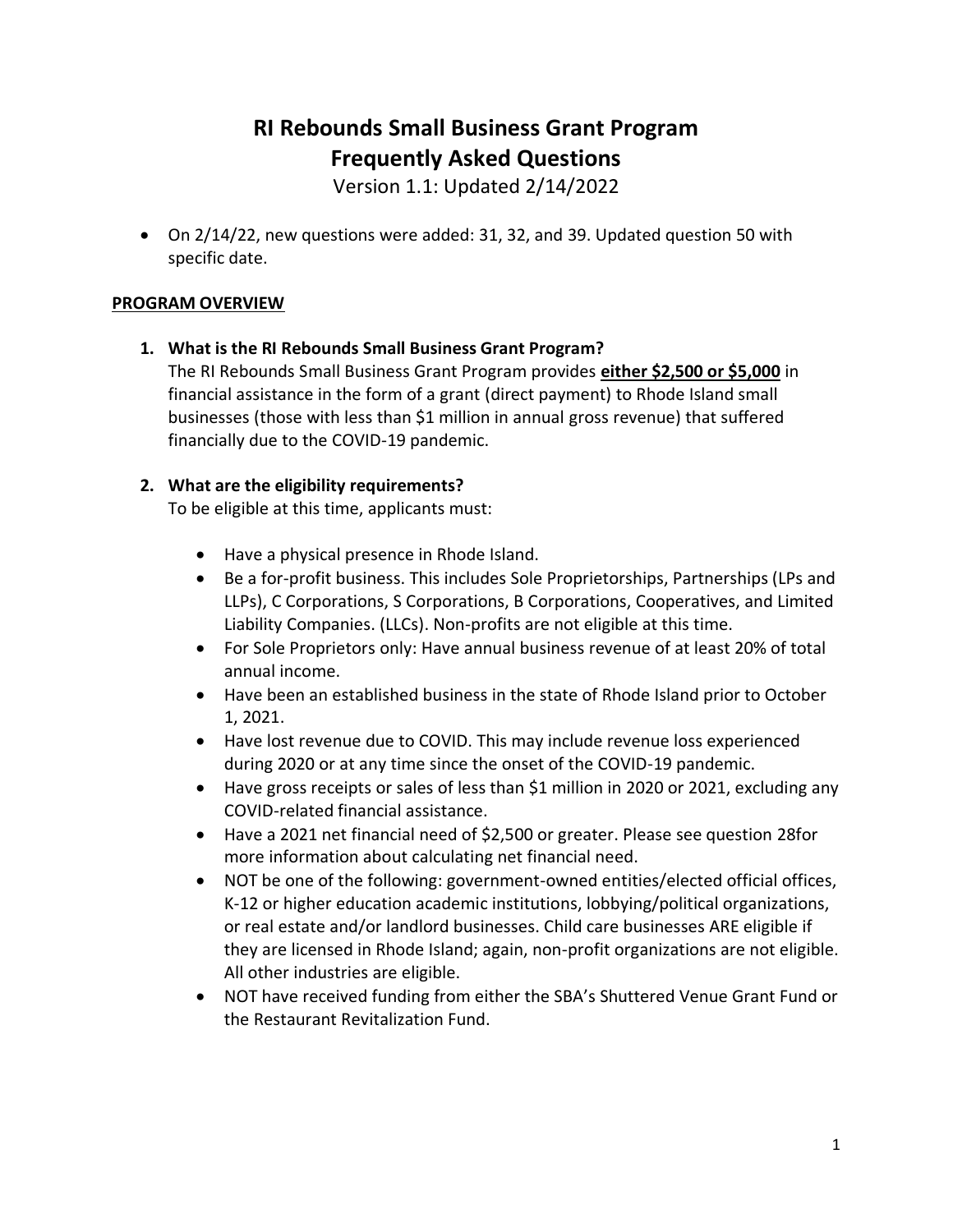# **RI Rebounds Small Business Grant Program Frequently Asked Questions**

Version 1.1: Updated 2/14/2022

• On 2/14/22, new questions were added: 31, 32, and 39. Updated question 50 with specific date.

# **PROGRAM OVERVIEW**

# **1. What is the RI Rebounds Small Business Grant Program?**

The RI Rebounds Small Business Grant Program provides **either \$2,500 or \$5,000** in financial assistance in the form of a grant (direct payment) to Rhode Island small businesses (those with less than \$1 million in annual gross revenue) that suffered financially due to the COVID-19 pandemic.

# **2. What are the eligibility requirements?**

To be eligible at this time, applicants must:

- Have a physical presence in Rhode Island.
- Be a for-profit business. This includes Sole Proprietorships, Partnerships (LPs and LLPs), C Corporations, S Corporations, B Corporations, Cooperatives, and Limited Liability Companies. (LLCs). Non-profits are not eligible at this time.
- For Sole Proprietors only: Have annual business revenue of at least 20% of total annual income.
- Have been an established business in the state of Rhode Island prior to October 1, 2021.
- Have lost revenue due to COVID. This may include revenue loss experienced during 2020 or at any time since the onset of the COVID-19 pandemic.
- Have gross receipts or sales of less than \$1 million in 2020 or 2021, excluding any COVID-related financial assistance.
- Have a 2021 net financial need of \$2,500 or greater. Please see question 28for more information about calculating net financial need.
- NOT be one of the following: government-owned entities/elected official offices, K-12 or higher education academic institutions, lobbying/political organizations, or real estate and/or landlord businesses. Child care businesses ARE eligible if they are licensed in Rhode Island; again, non-profit organizations are not eligible. All other industries are eligible.
- NOT have received funding from either the SBA's Shuttered Venue Grant Fund or the Restaurant Revitalization Fund.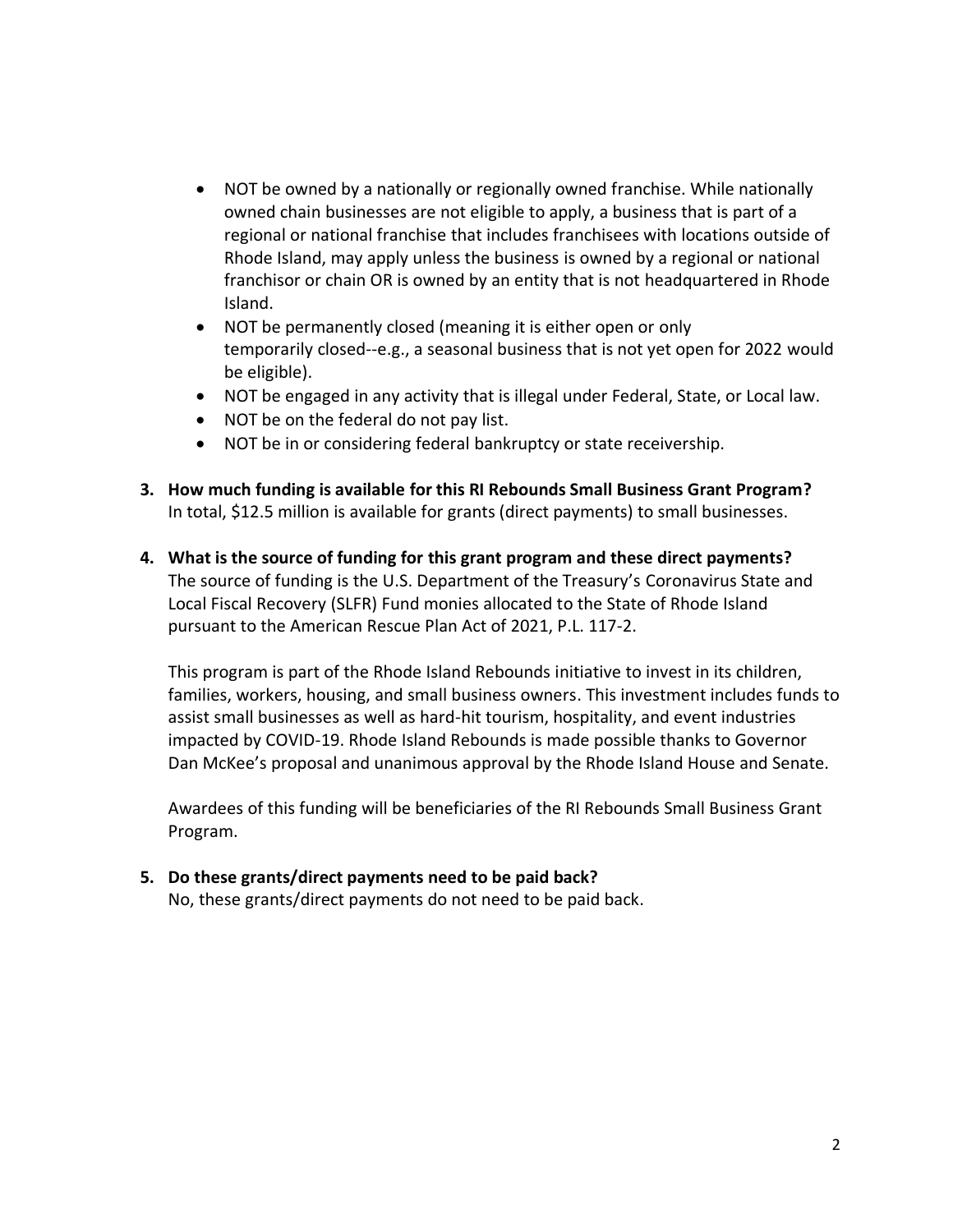- NOT be owned by a nationally or regionally owned franchise. While nationally owned chain businesses are not eligible to apply, a business that is part of a regional or national franchise that includes franchisees with locations outside of Rhode Island, may apply unless the business is owned by a regional or national franchisor or chain OR is owned by an entity that is not headquartered in Rhode Island.
- NOT be permanently closed (meaning it is either open or only temporarily closed--e.g., a seasonal business that is not yet open for 2022 would be eligible).
- NOT be engaged in any activity that is illegal under Federal, State, or Local law.
- NOT be on the federal do not pay list.
- NOT be in or considering federal bankruptcy or state receivership.
- **3. How much funding is available for this RI Rebounds Small Business Grant Program?** In total, \$12.5 million is available for grants (direct payments) to small businesses.
- **4. What is the source of funding for this grant program and these direct payments?** The source of funding is the U.S. Department of the Treasury's Coronavirus State and Local Fiscal Recovery (SLFR) Fund monies allocated to the State of Rhode Island pursuant to the American Rescue Plan Act of 2021, P.L. 117-2.

This program is part of the Rhode Island Rebounds initiative to invest in its children, families, workers, housing, and small business owners. This investment includes funds to assist small businesses as well as hard-hit tourism, hospitality, and event industries impacted by COVID-19. Rhode Island Rebounds is made possible thanks to Governor Dan McKee's proposal and unanimous approval by the Rhode Island House and Senate.

Awardees of this funding will be beneficiaries of the RI Rebounds Small Business Grant Program.

### **5. Do these grants/direct payments need to be paid back?**

No, these grants/direct payments do not need to be paid back.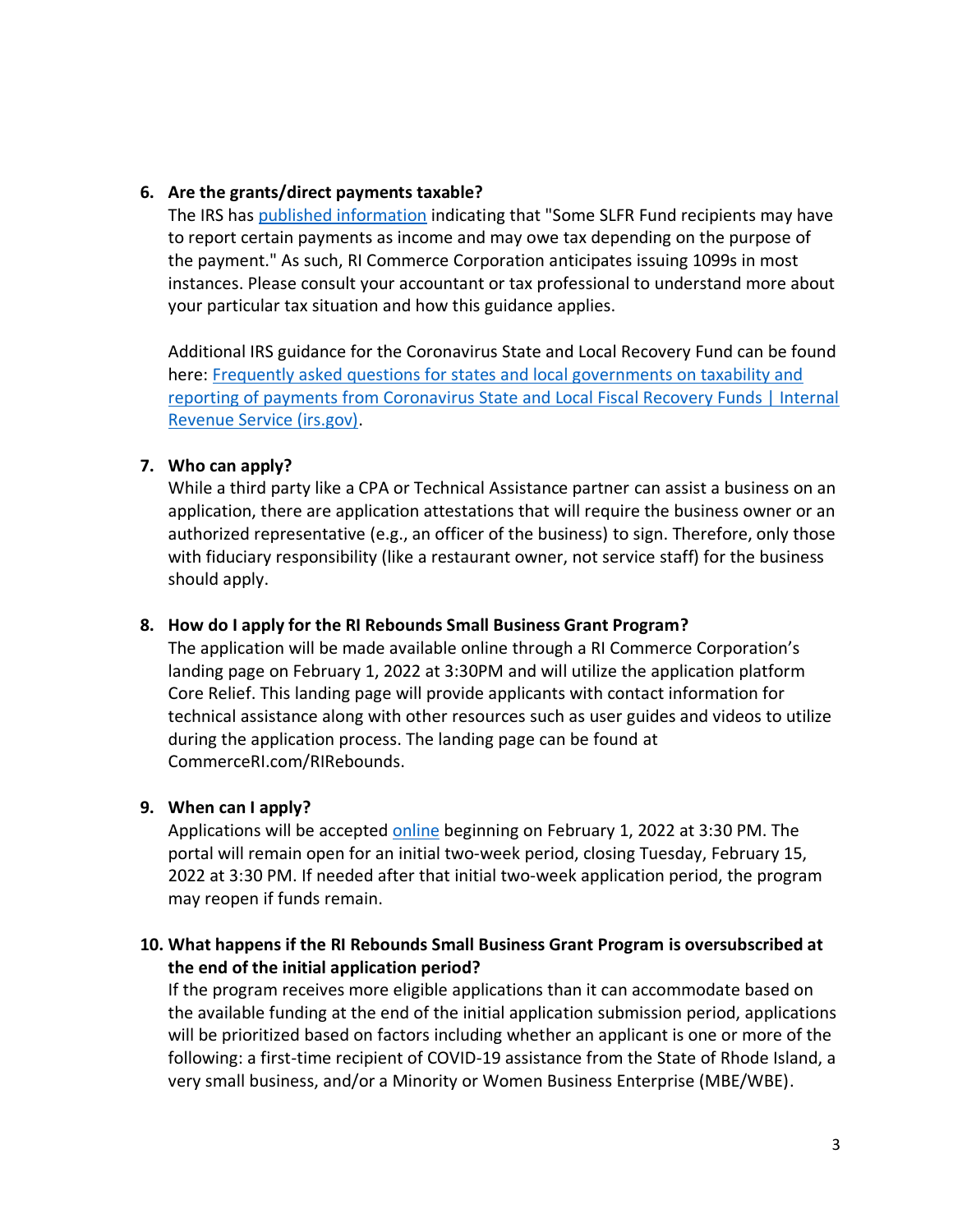# **6. Are the grants/direct payments taxable?**

The IRS has [published information](mailto:https://www.irs.gov/newsroom/frequently-asked-questions-for-states-and-local-governments-on-taxability-and-reporting-of-payments-from-coronavirus-state-and-local-fiscal-recovery-funds) indicating that "Some SLFR Fund recipients may have to report certain payments as income and may owe tax depending on the purpose of the payment." As such, RI Commerce Corporation anticipates issuing 1099s in most instances. Please consult your accountant or tax professional to understand more about your particular tax situation and how this guidance applies.

Additional IRS guidance for the Coronavirus State and Local Recovery Fund can be found here: [Frequently asked questions for states and local governments on taxability and](https://www.irs.gov/newsroom/frequently-asked-questions-for-states-and-local-governments-on-taxability-and-reporting-of-payments-from-coronavirus-state-and-local-fiscal-recovery-funds)  reporting of payments from Coronavirus State and Local Fiscal Recovery Funds | Internal Revenue Service (irs.gov).

# **7. Who can apply?**

While a third party like a CPA or Technical Assistance partner can assist a business on an application, there are application attestations that will require the business owner or an authorized representative (e.g., an officer of the business) to sign. Therefore, only those with fiduciary responsibility (like a restaurant owner, not service staff) for the business should apply.

### **8. How do I apply for the RI Rebounds Small Business Grant Program?**

The application will be made available online through a RI Commerce Corporation's landing page on February 1, 2022 at 3:30PM and will utilize the application platform Core Relief. This landing page will provide applicants with contact information for technical assistance along with other resources such as user guides and videos to utilize during the application process. The landing page can be found at CommerceRI.com/RIRebounds.

# **9. When can I apply?**

Applications will be accepted [online](https://commerceri.com/rirebounds/) beginning on February 1, 2022 at 3:30 PM. The portal will remain open for an initial two-week period, closing Tuesday, February 15, 2022 at 3:30 PM. If needed after that initial two-week application period, the program may reopen if funds remain.

# **10. What happens if the RI Rebounds Small Business Grant Program is oversubscribed at the end of the initial application period?**

If the program receives more eligible applications than it can accommodate based on the available funding at the end of the initial application submission period, applications will be prioritized based on factors including whether an applicant is one or more of the following: a first-time recipient of COVID-19 assistance from the State of Rhode Island, a very small business, and/or a Minority or Women Business Enterprise (MBE/WBE).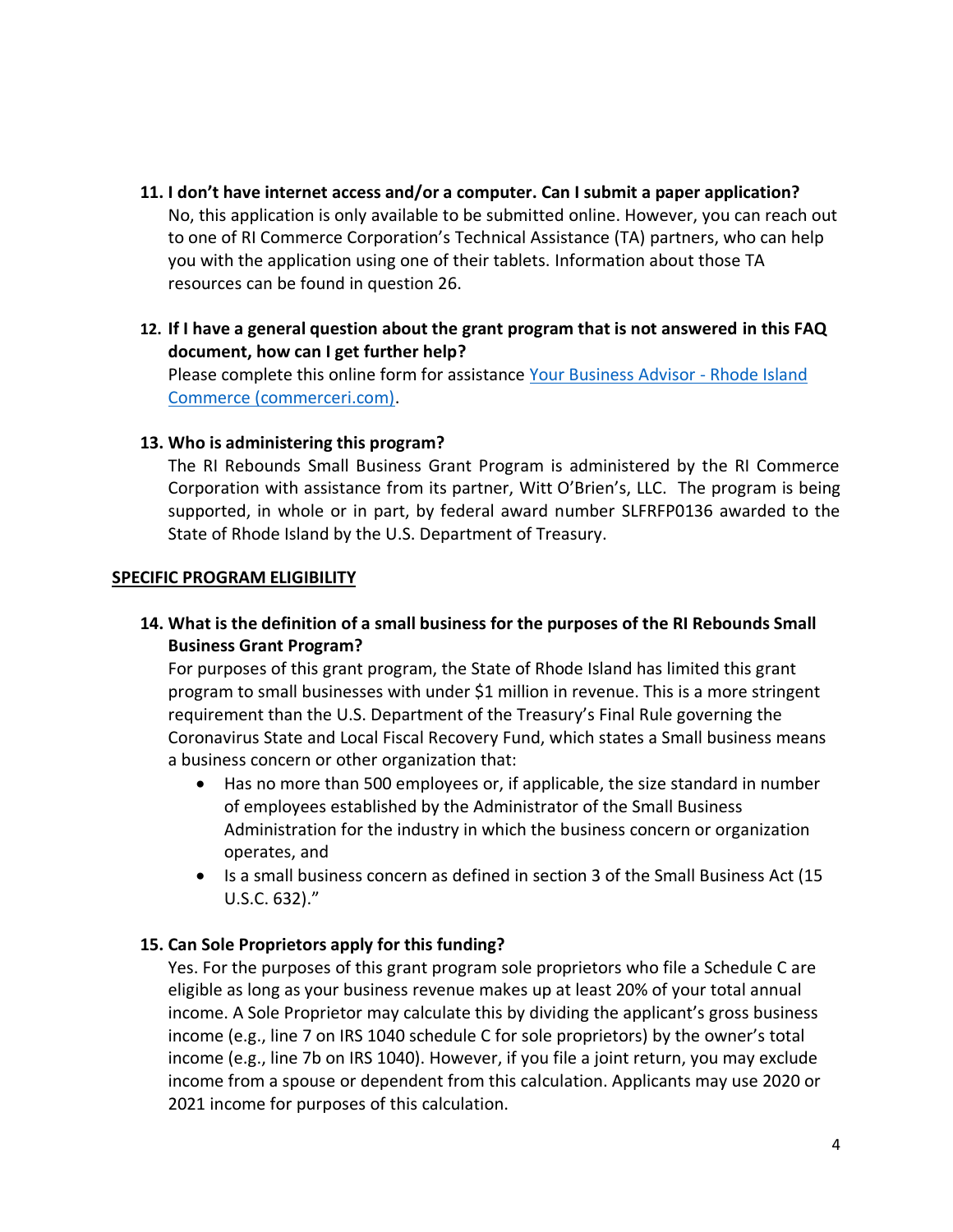- **11. I don't have internet access and/or a computer. Can I submit a paper application?** No, this application is only available to be submitted online. However, you can reach out to one of RI Commerce Corporation's Technical Assistance (TA) partners, who can help you with the application using one of their tablets. Information about those TA resources can be found in question 26.
- **12. If I have a general question about the grant program that is not answered in this FAQ document, how can I get further help?**

Please complete this online form for assistance [Your Business Advisor -](https://commerceri.com/your-business-advisor/) Rhode Island Commerce (commerceri.com).

# **13. Who is administering this program?**

The RI Rebounds Small Business Grant Program is administered by the RI Commerce Corporation with assistance from its partner, Witt O'Brien's, LLC. The program is being supported, in whole or in part, by federal award number SLFRFP0136 awarded to the State of Rhode Island by the U.S. Department of Treasury.

### **SPECIFIC PROGRAM ELIGIBILITY**

**14. What is the definition of a small business for the purposes of the RI Rebounds Small Business Grant Program?**

For purposes of this grant program, the State of Rhode Island has limited this grant program to small businesses with under \$1 million in revenue. This is a more stringent requirement than the U.S. Department of the Treasury's Final Rule governing the Coronavirus State and Local Fiscal Recovery Fund, which states a Small business means a business concern or other organization that:

- Has no more than 500 employees or, if applicable, the size standard in number of employees established by the Administrator of the Small Business Administration for the industry in which the business concern or organization operates, and
- Is a small business concern as defined in section 3 of the Small Business Act (15 U.S.C. 632)."

# **15. Can Sole Proprietors apply for this funding?**

Yes. For the purposes of this grant program sole proprietors who file a Schedule C are eligible as long as your business revenue makes up at least 20% of your total annual income. A Sole Proprietor may calculate this by dividing the applicant's gross business income (e.g., line 7 on IRS 1040 schedule C for sole proprietors) by the owner's total income (e.g., line 7b on IRS 1040). However, if you file a joint return, you may exclude income from a spouse or dependent from this calculation. Applicants may use 2020 or 2021 income for purposes of this calculation.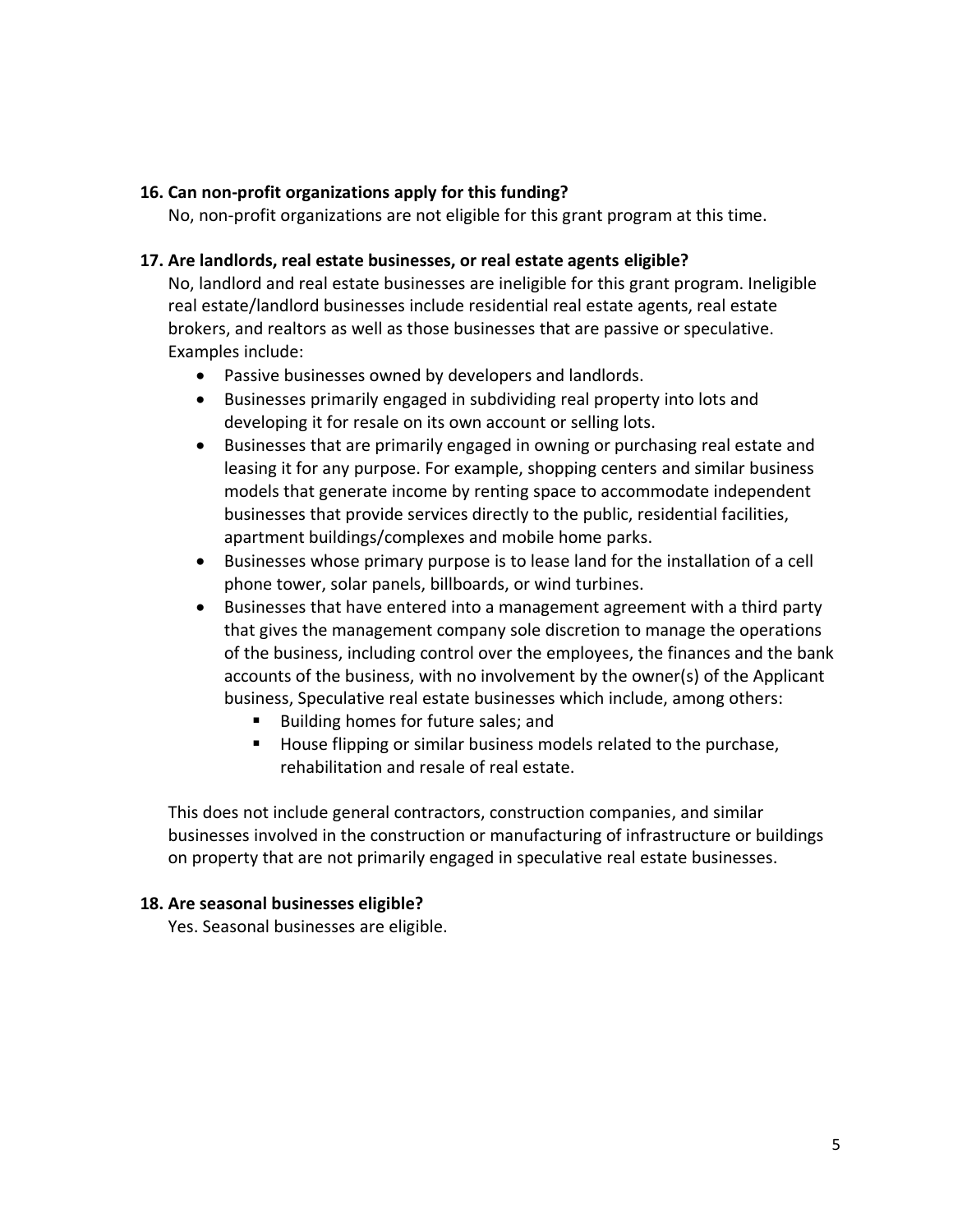# **16. Can non-profit organizations apply for this funding?**

No, non-profit organizations are not eligible for this grant program at this time.

### **17. Are landlords, real estate businesses, or real estate agents eligible?**

No, landlord and real estate businesses are ineligible for this grant program. Ineligible real estate/landlord businesses include residential real estate agents, real estate brokers, and realtors as well as those businesses that are passive or speculative. Examples include:

- Passive businesses owned by developers and landlords.
- Businesses primarily engaged in subdividing real property into lots and developing it for resale on its own account or selling lots.
- Businesses that are primarily engaged in owning or purchasing real estate and leasing it for any purpose. For example, shopping centers and similar business models that generate income by renting space to accommodate independent businesses that provide services directly to the public, residential facilities, apartment buildings/complexes and mobile home parks.
- Businesses whose primary purpose is to lease land for the installation of a cell phone tower, solar panels, billboards, or wind turbines.
- Businesses that have entered into a management agreement with a third party that gives the management company sole discretion to manage the operations of the business, including control over the employees, the finances and the bank accounts of the business, with no involvement by the owner(s) of the Applicant business, Speculative real estate businesses which include, among others:
	- Building homes for future sales; and
	- House flipping or similar business models related to the purchase, rehabilitation and resale of real estate.

This does not include general contractors, construction companies, and similar businesses involved in the construction or manufacturing of infrastructure or buildings on property that are not primarily engaged in speculative real estate businesses.

### **18. Are seasonal businesses eligible?**

Yes. Seasonal businesses are eligible.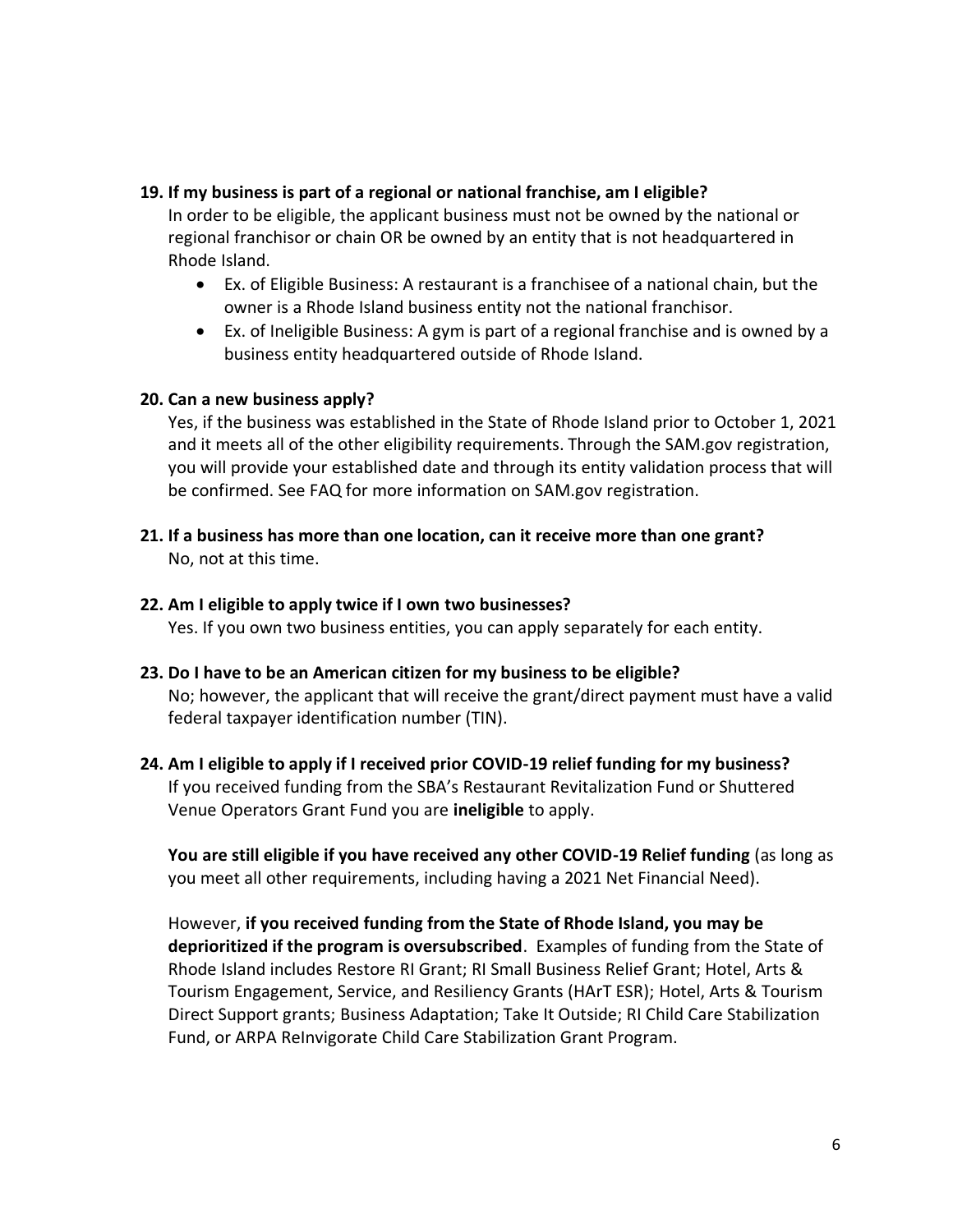### **19. If my business is part of a regional or national franchise, am I eligible?**

In order to be eligible, the applicant business must not be owned by the national or regional franchisor or chain OR be owned by an entity that is not headquartered in Rhode Island.

- Ex. of Eligible Business: A restaurant is a franchisee of a national chain, but the owner is a Rhode Island business entity not the national franchisor.
- Ex. of Ineligible Business: A gym is part of a regional franchise and is owned by a business entity headquartered outside of Rhode Island.

# **20. Can a new business apply?**

Yes, if the business was established in the State of Rhode Island prior to October 1, 2021 and it meets all of the other eligibility requirements. Through the SAM.gov registration, you will provide your established date and through its entity validation process that will be confirmed. See FAQ for more information on SAM.gov registration.

- **21. If a business has more than one location, can it receive more than one grant?** No, not at this time.
- **22. Am I eligible to apply twice if I own two businesses?** Yes. If you own two business entities, you can apply separately for each entity.
- **23. Do I have to be an American citizen for my business to be eligible?** No; however, the applicant that will receive the grant/direct payment must have a valid federal taxpayer identification number (TIN).
- **24. Am I eligible to apply if I received prior COVID-19 relief funding for my business?** If you received funding from the SBA's Restaurant Revitalization Fund or Shuttered Venue Operators Grant Fund you are **ineligible** to apply.

**You are still eligible if you have received any other COVID-19 Relief funding** (as long as you meet all other requirements, including having a 2021 Net Financial Need).

However, **if you received funding from the State of Rhode Island, you may be deprioritized if the program is oversubscribed**. Examples of funding from the State of Rhode Island includes Restore RI Grant; RI Small Business Relief Grant; Hotel, Arts & Tourism Engagement, Service, and Resiliency Grants (HArT ESR); Hotel, Arts & Tourism Direct Support grants; Business Adaptation; Take It Outside; RI Child Care Stabilization Fund, or ARPA ReInvigorate Child Care Stabilization Grant Program.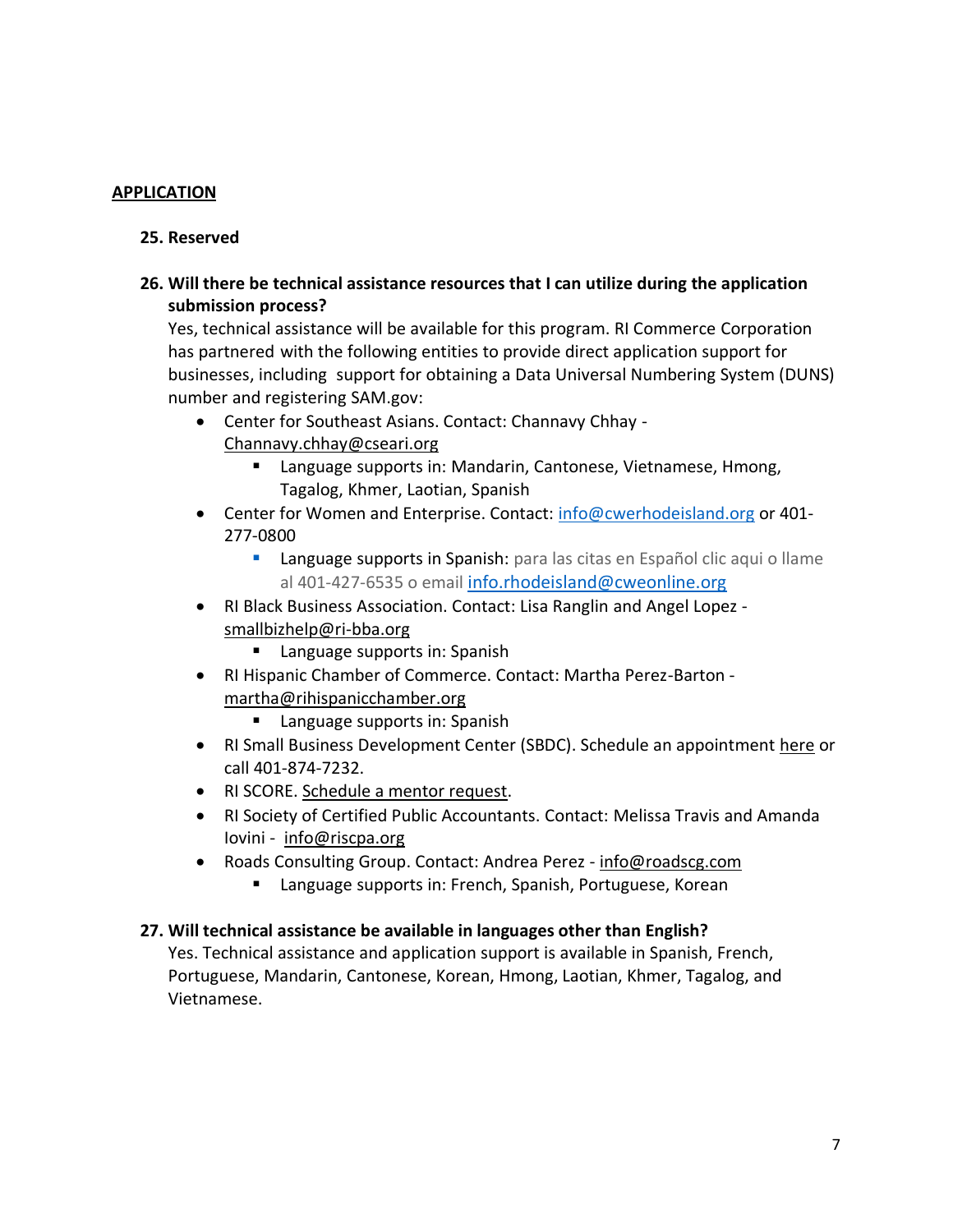# **APPLICATION**

### **25. Reserved**

# **26. Will there be technical assistance resources that I can utilize during the application submission process?**

Yes, technical assistance will be available for this program. RI Commerce Corporation has partnered with the following entities to provide direct application support for businesses, including support for obtaining a Data Universal Numbering System (DUNS) number and registering SAM.gov:

- Center for Southeast Asians. Contact: Channavy Chhay [Channavy.chhay@cseari.org](mailto:Channavy.chhay@cseari.org)
	- Language supports in: Mandarin, Cantonese, Vietnamese, Hmong, Tagalog, Khmer, Laotian, Spanish
- Center for Women and Enterprise. Contact: [info@cwerhodeisland.org](mailto:info@cwerhodeisland.org) or 401-277-0800
	- Language supports in Spanish: para las citas en Español clic aqui o llame al 401-427-6535 o email [info.rhodeisland@cweonline.org](mailto:info.rhodeisland@cweonline.org)
- RI Black Business Association. Contact: Lisa Ranglin and Angel Lopez [smallbizhelp@ri-bba.org](mailto:smallbizhelp@ri-bba.org)
	- Language supports in: Spanish
- RI Hispanic Chamber of Commerce. Contact: Martha Perez-Barton [martha@rihispanicchamber.org](mailto:martha@rihispanicchamber.org)
	- Language supports in: Spanish
- RI Small Business Development Center (SBDC). Schedule an appointment [here](https://www.risbdc.org/reg.aspx?mode=counsel¢er=14070&subloc=0) or call 401-874-7232.
- RI SCORE. [Schedule a mentor request.](https://core.score.org/mentoring/request/0/9017?_ga=2.4971955.1211711106.1596467235-837390748.1596130201)
- RI Society of Certified Public Accountants. Contact: Melissa Travis and Amanda Iovini - [info@riscpa.org](mailto:info@riscpa.org)
- Roads Consulting Group. Contact: Andrea Perez [info@roadscg.com](mailto:info@roadscg.com)
	- Language supports in: French, Spanish, Portuguese, Korean

### **27. Will technical assistance be available in languages other than English?**

Yes. Technical assistance and application support is available in Spanish, French, Portuguese, Mandarin, Cantonese, Korean, Hmong, Laotian, Khmer, Tagalog, and Vietnamese.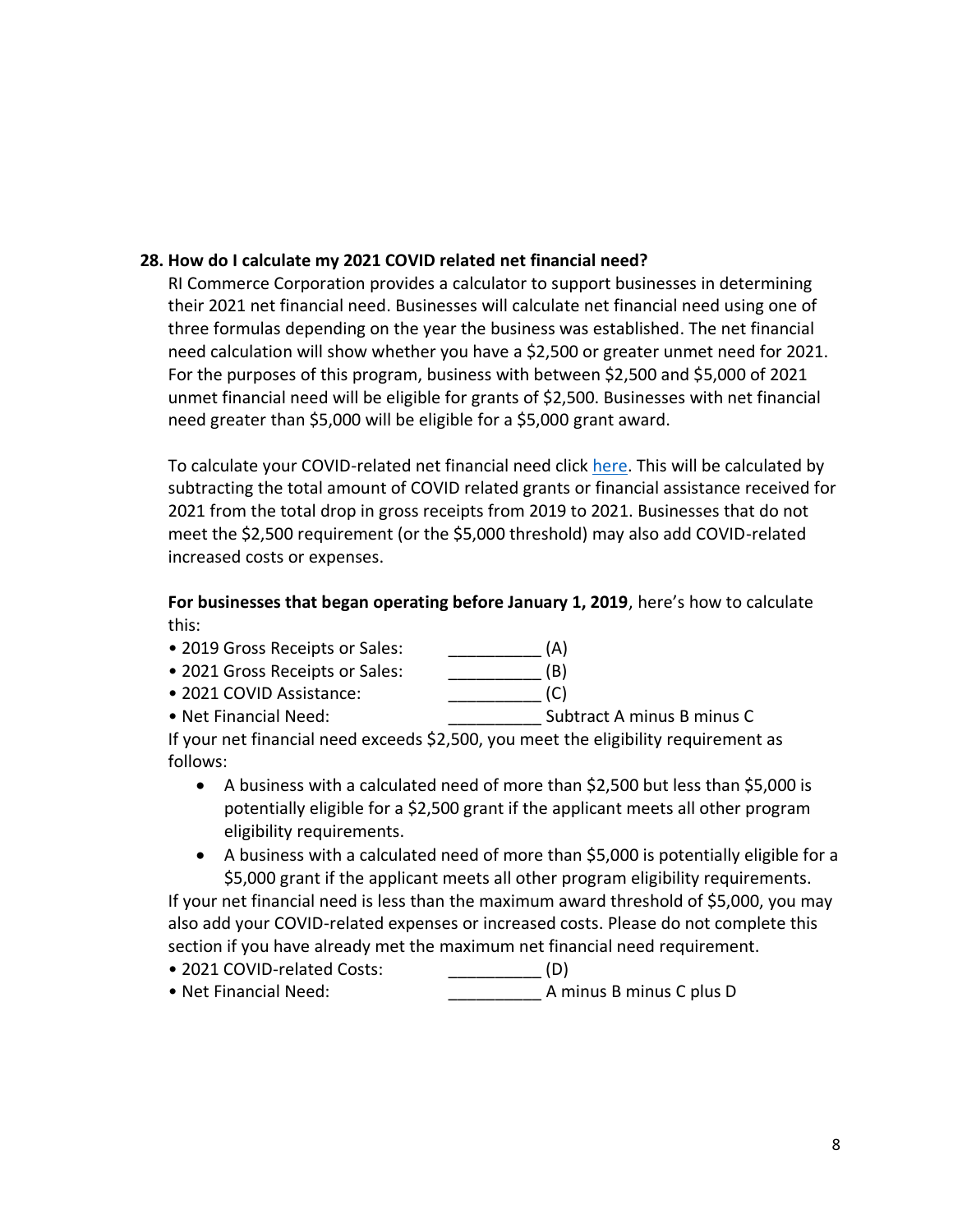# **28. How do I calculate my 2021 COVID related net financial need?**

RI Commerce Corporation provides a [calculator](http://grantcalculator.commerceri.com/) to support businesses in determining their 2021 net financial need. Businesses will calculate net financial need using one of three formulas depending on the year the business was established. The net financial need calculation will show whether you have a \$2,500 or greater unmet need for 2021. For the purposes of this program, business with between \$2,500 and \$5,000 of 2021 unmet financial need will be eligible for grants of \$2,500. Businesses with net financial need greater than \$5,000 will be eligible for a \$5,000 grant award.

To calculate your COVID-related net financial need click [here.](https://grantcalculator.commerceri.com/) This will be calculated by subtracting the total amount of COVID related grants or financial assistance received for 2021 from the total drop in gross receipts from 2019 to 2021. Businesses that do not meet the \$2,500 requirement (or the \$5,000 threshold) may also add COVID-related increased costs or expenses.

**For businesses that began operating before January 1, 2019**, here's how to calculate this:

- 2019 Gross Receipts or Sales: \_\_\_\_\_\_\_\_\_\_\_\_\_\_\_ (A)
- 2021 Gross Receipts or Sales: \_\_\_\_\_\_\_\_\_\_\_ (B)
- 2021 COVID Assistance: \_\_\_\_\_\_\_\_\_\_ (C)
- Net Financial Need:  $\blacksquare$

If your net financial need exceeds \$2,500, you meet the eligibility requirement as follows:

- A business with a calculated need of more than \$2,500 but less than \$5,000 is potentially eligible for a \$2,500 grant if the applicant meets all other program eligibility requirements.
- A business with a calculated need of more than \$5,000 is potentially eligible for a \$5,000 grant if the applicant meets all other program eligibility requirements.

If your net financial need is less than the maximum award threshold of \$5,000, you may also add your COVID-related expenses or increased costs. Please do not complete this section if you have already met the maximum net financial need requirement.

- 2021 COVID-related Costs: \_\_\_\_\_\_\_\_\_\_ (D)
- Net Financial Need:  $\blacksquare$  A minus B minus C plus D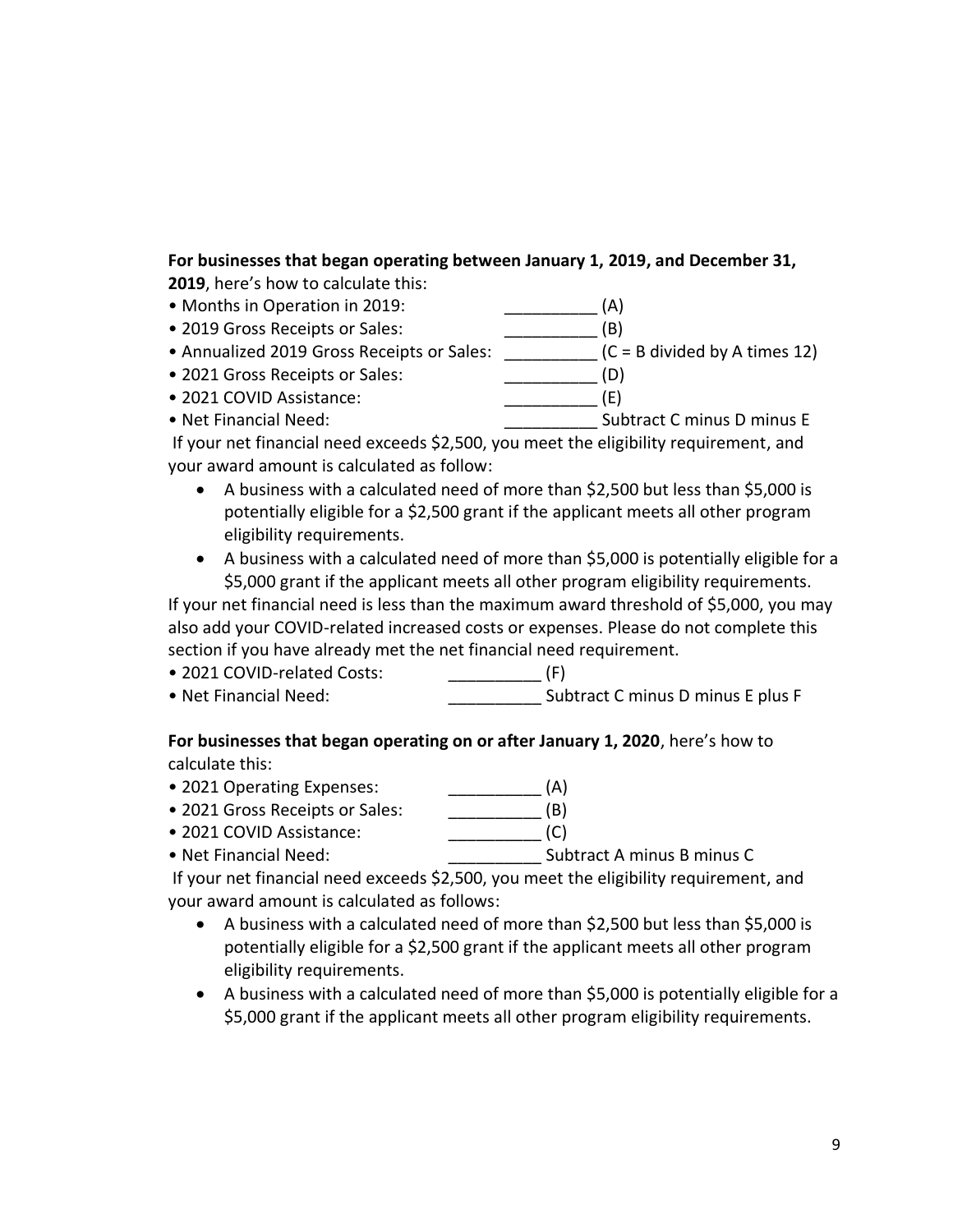# **For businesses that began operating between January 1, 2019, and December 31,**

**2019**, here's how to calculate this:

- Months in Operation in 2019: **All and Structure (A)**
- 2019 Gross Receipts or Sales:  $(B)$
- Annualized 2019 Gross Receipts or Sales: <br> (C = B divided by A times 12)
- 2021 Gross Receipts or Sales:  $(D)$
- 2021 COVID Assistance:  $(E)$
- Net Financial Need:  $\bullet$  Subtract C minus D minus E

If your net financial need exceeds \$2,500, you meet the eligibility requirement, and your award amount is calculated as follow:

- A business with a calculated need of more than \$2,500 but less than \$5,000 is potentially eligible for a \$2,500 grant if the applicant meets all other program eligibility requirements.
- A business with a calculated need of more than \$5,000 is potentially eligible for a \$5,000 grant if the applicant meets all other program eligibility requirements.

If your net financial need is less than the maximum award threshold of \$5,000, you may also add your COVID-related increased costs or expenses. Please do not complete this section if you have already met the net financial need requirement.

- 2021 COVID-related Costs:  $(F)$
- Net Financial Need:  $\blacksquare$  Subtract C minus D minus E plus F

# **For businesses that began operating on or after January 1, 2020**, here's how to calculate this:

- 2021 Operating Expenses: \_\_\_\_\_\_\_\_\_\_ (A)
- 2021 Gross Receipts or Sales: (B)
- 2021 COVID Assistance: \_\_\_\_\_\_\_\_\_\_ (C)
- Net Financial Need: \_\_\_\_\_\_\_\_\_\_ Subtract A minus B minus C

If your net financial need exceeds \$2,500, you meet the eligibility requirement, and your award amount is calculated as follows:

- A business with a calculated need of more than \$2,500 but less than \$5,000 is potentially eligible for a \$2,500 grant if the applicant meets all other program eligibility requirements.
- A business with a calculated need of more than \$5,000 is potentially eligible for a \$5,000 grant if the applicant meets all other program eligibility requirements.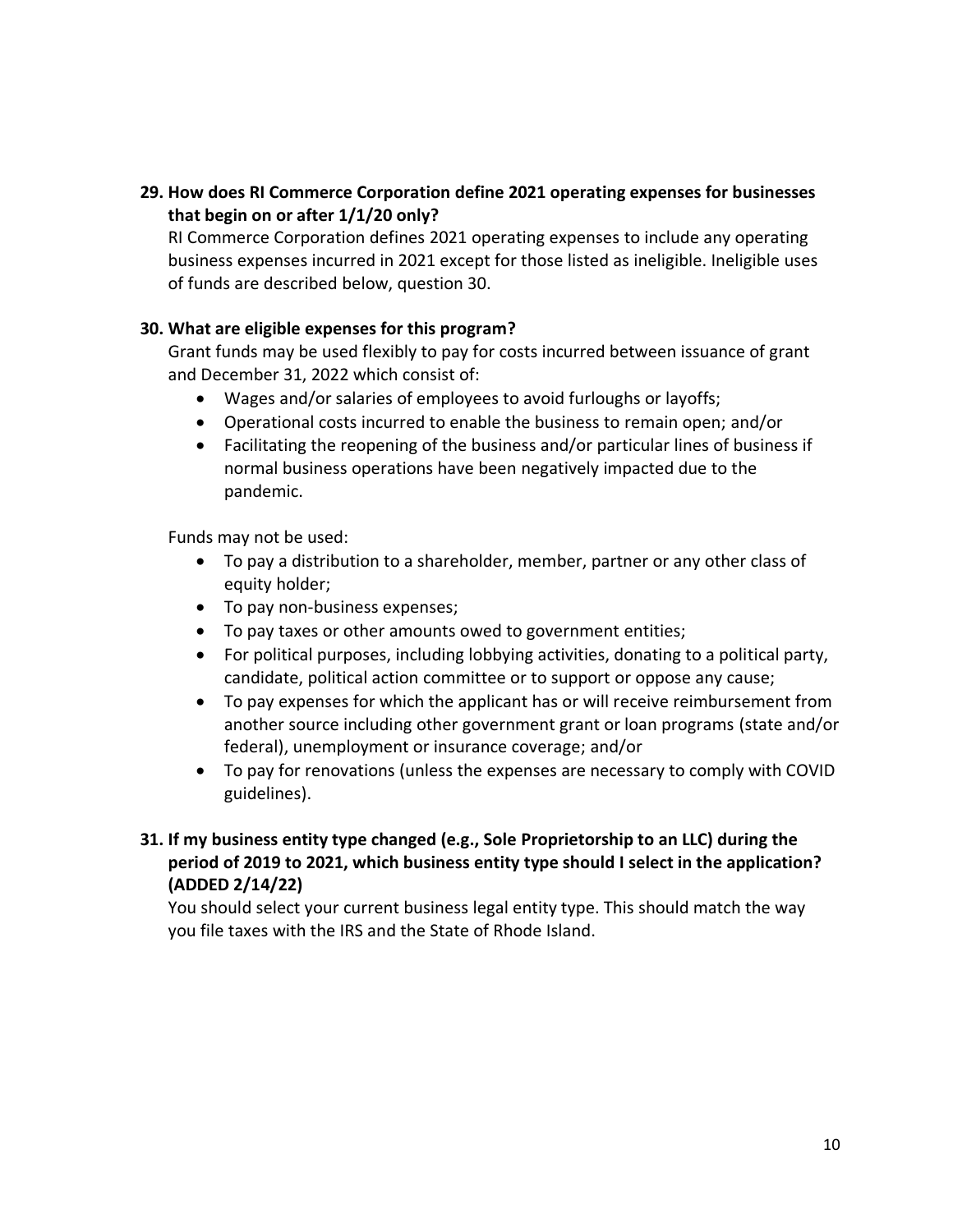# **29. How does RI Commerce Corporation define 2021 operating expenses for businesses that begin on or after 1/1/20 only?**

RI Commerce Corporation defines 2021 operating expenses to include any operating business expenses incurred in 2021 except for those listed as ineligible. Ineligible uses of funds are described below, question 30.

# **30. What are eligible expenses for this program?**

Grant funds may be used flexibly to pay for costs incurred between issuance of grant and December 31, 2022 which consist of:

- Wages and/or salaries of employees to avoid furloughs or layoffs;
- Operational costs incurred to enable the business to remain open; and/or
- Facilitating the reopening of the business and/or particular lines of business if normal business operations have been negatively impacted due to the pandemic.

Funds may not be used:

- To pay a distribution to a shareholder, member, partner or any other class of equity holder;
- To pay non-business expenses;
- To pay taxes or other amounts owed to government entities;
- For political purposes, including lobbying activities, donating to a political party, candidate, political action committee or to support or oppose any cause;
- To pay expenses for which the applicant has or will receive reimbursement from another source including other government grant or loan programs (state and/or federal), unemployment or insurance coverage; and/or
- To pay for renovations (unless the expenses are necessary to comply with COVID guidelines).
- **31. If my business entity type changed (e.g., Sole Proprietorship to an LLC) during the period of 2019 to 2021, which business entity type should I select in the application? (ADDED 2/14/22)**

You should select your current business legal entity type. This should match the way you file taxes with the IRS and the State of Rhode Island.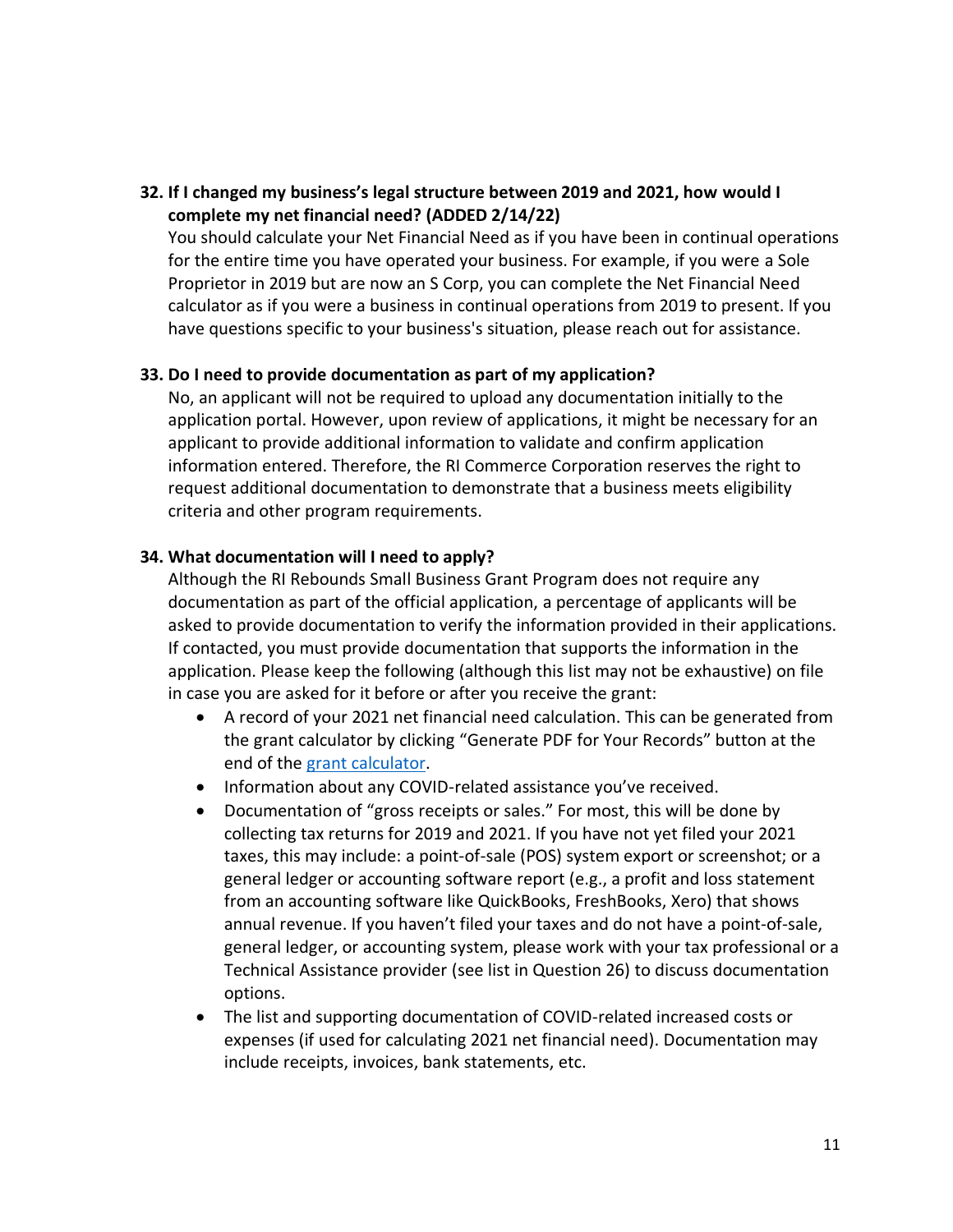# **32. If I changed my business's legal structure between 2019 and 2021, how would I complete my net financial need? (ADDED 2/14/22)**

You should calculate your Net Financial Need as if you have been in continual operations for the entire time you have operated your business. For example, if you were a Sole Proprietor in 2019 but are now an S Corp, you can complete the Net Financial Need calculator as if you were a business in continual operations from 2019 to present. If you have questions specific to your business's situation, please reach out for assistance.

#### **33. Do I need to provide documentation as part of my application?**

No, an applicant will not be required to upload any documentation initially to the application portal. However, upon review of applications, it might be necessary for an applicant to provide additional information to validate and confirm application information entered. Therefore, the RI Commerce Corporation reserves the right to request additional documentation to demonstrate that a business meets eligibility criteria and other program requirements.

### **34. What documentation will I need to apply?**

Although the RI Rebounds Small Business Grant Program does not require any documentation as part of the official application, a percentage of applicants will be asked to provide documentation to verify the information provided in their applications. If contacted, you must provide documentation that supports the information in the application. Please keep the following (although this list may not be exhaustive) on file in case you are asked for it before or after you receive the grant:

- A record of your 2021 net financial need calculation. This can be generated from the grant calculator by clicking "Generate PDF for Your Records" button at the end of the [grant calculator.](https://grantcalculator.commerceri.com/)
- Information about any COVID-related assistance you've received.
- Documentation of "gross receipts or sales." For most, this will be done by collecting tax returns for 2019 and 2021. If you have not yet filed your 2021 taxes, this may include: a point-of-sale (POS) system export or screenshot; or a general ledger or accounting software report (e.g., a profit and loss statement from an accounting software like QuickBooks, FreshBooks, Xero) that shows annual revenue. If you haven't filed your taxes and do not have a point-of-sale, general ledger, or accounting system, please work with your tax professional or a Technical Assistance provider (see list in Question 26) to discuss documentation options.
- The list and supporting documentation of COVID-related increased costs or expenses (if used for calculating 2021 net financial need). Documentation may include receipts, invoices, bank statements, etc.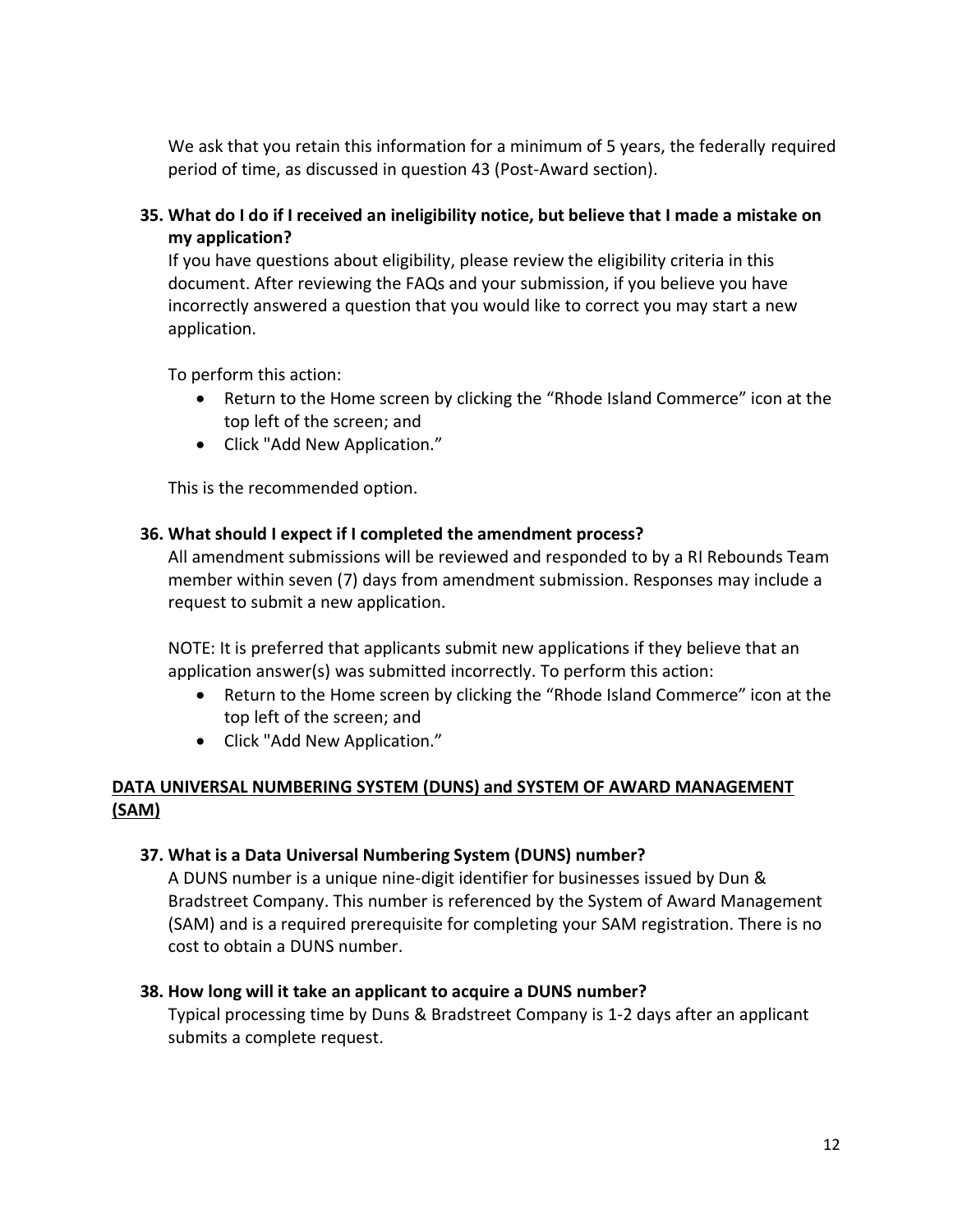We ask that you retain this information for a minimum of 5 years, the federally required period of time, as discussed in question 43 (Post-Award section).

**35. What do I do if I received an ineligibility notice, but believe that I made a mistake on my application?**

If you have questions about eligibility, please review the eligibility criteria in this document. After reviewing the FAQs and your submission, if you believe you have incorrectly answered a question that you would like to correct you may start a new application.

To perform this action:

- Return to the Home screen by clicking the "Rhode Island Commerce" icon at the top left of the screen; and
- Click "Add New Application."

This is the recommended option.

### **36. What should I expect if I completed the amendment process?**

All amendment submissions will be reviewed and responded to by a RI Rebounds Team member within seven (7) days from amendment submission. Responses may include a request to submit a new application.

NOTE: It is preferred that applicants submit new applications if they believe that an application answer(s) was submitted incorrectly. To perform this action:

- Return to the Home screen by clicking the "Rhode Island Commerce" icon at the top left of the screen; and
- Click "Add New Application."

# **DATA UNIVERSAL NUMBERING SYSTEM (DUNS) and SYSTEM OF AWARD MANAGEMENT (SAM)**

### **37. What is a Data Universal Numbering System (DUNS) number?**

A DUNS number is a unique nine-digit identifier for businesses issued by Dun & Bradstreet Company. This number is referenced by the System of Award Management (SAM) and is a required prerequisite for completing your SAM registration. There is no cost to obtain a DUNS number.

### **38. How long will it take an applicant to acquire a DUNS number?**

Typical processing time by Duns & Bradstreet Company is 1-2 days after an applicant submits a complete request.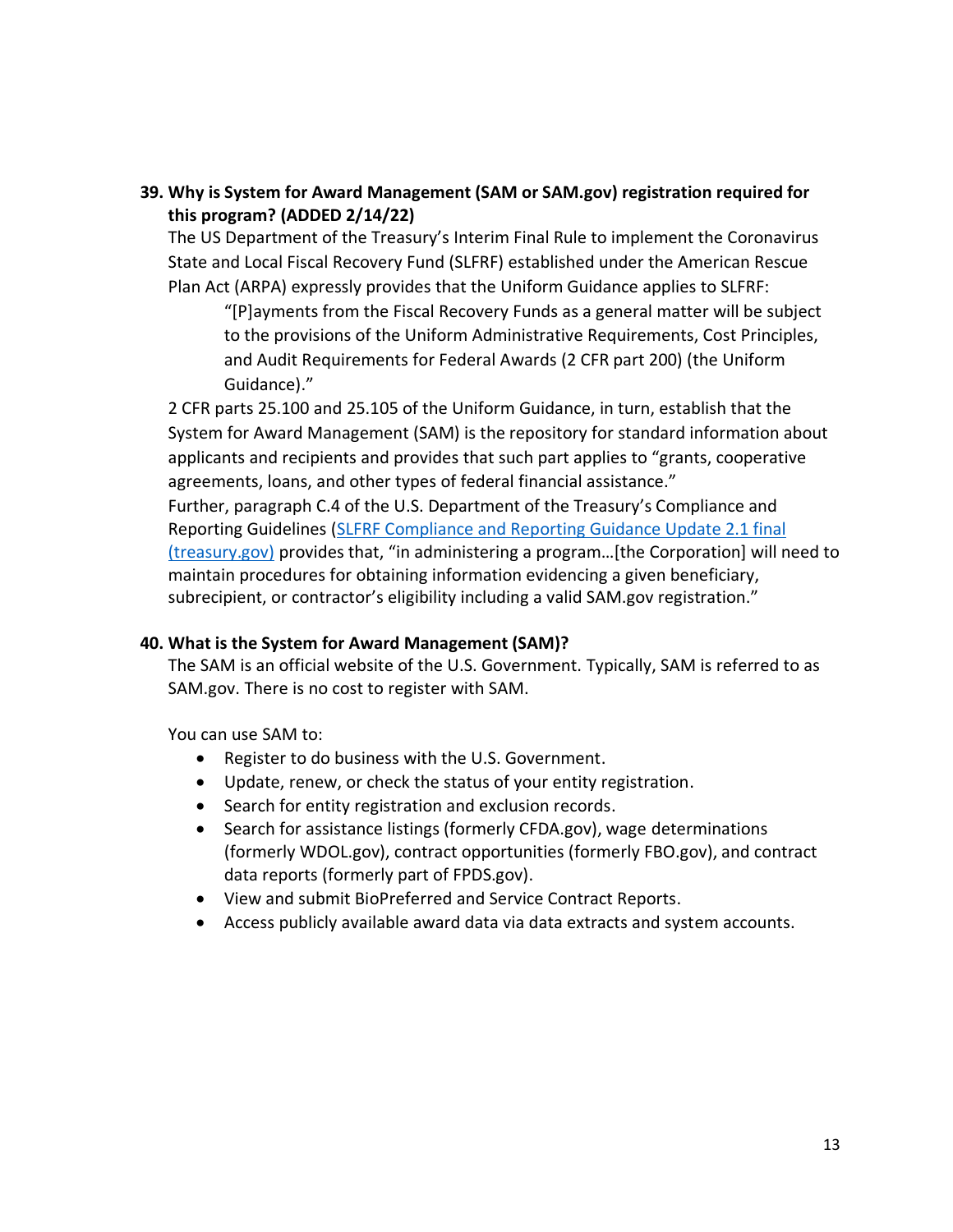# **39. Why is System for Award Management (SAM or SAM.gov) registration required for this program? (ADDED 2/14/22)**

The US Department of the Treasury's Interim Final Rule to implement the Coronavirus State and Local Fiscal Recovery Fund (SLFRF) established under the American Rescue Plan Act (ARPA) expressly provides that the Uniform Guidance applies to SLFRF:

"[P]ayments from the Fiscal Recovery Funds as a general matter will be subject to the provisions of the Uniform Administrative Requirements, Cost Principles, and Audit Requirements for Federal Awards (2 CFR part 200) (the Uniform Guidance)."

2 CFR parts 25.100 and 25.105 of the Uniform Guidance, in turn, establish that the System for Award Management (SAM) is the repository for standard information about applicants and recipients and provides that such part applies to "grants, cooperative agreements, loans, and other types of federal financial assistance."

Further, paragraph C.4 of the U.S. Department of the Treasury's Compliance and Reporting Guidelines [\(SLFRF Compliance and Reporting Guidance Update 2.1 final](https://home.treasury.gov/system/files/136/SLFRF-Compliance-and-Reporting-Guidance.pdf)  (treasury.gov) provides that, "in administering a program…[the Corporation] will need to maintain procedures for obtaining information evidencing a given beneficiary, subrecipient, or contractor's eligibility including a valid SAM.gov registration."

# **40. What is the System for Award Management (SAM)?**

The SAM is an official website of the U.S. Government. Typically, SAM is referred to as SAM.gov. There is no cost to register with SAM.

You can use SAM to:

- Register to do business with the U.S. Government.
- Update, renew, or check the status of your entity registration.
- Search for entity registration and exclusion records.
- Search for assistance listings (formerly CFDA.gov), wage determinations (formerly WDOL.gov), contract opportunities (formerly FBO.gov), and contract data reports (formerly part of FPDS.gov).
- View and submit BioPreferred and Service Contract Reports.
- Access publicly available award data via data extracts and system accounts.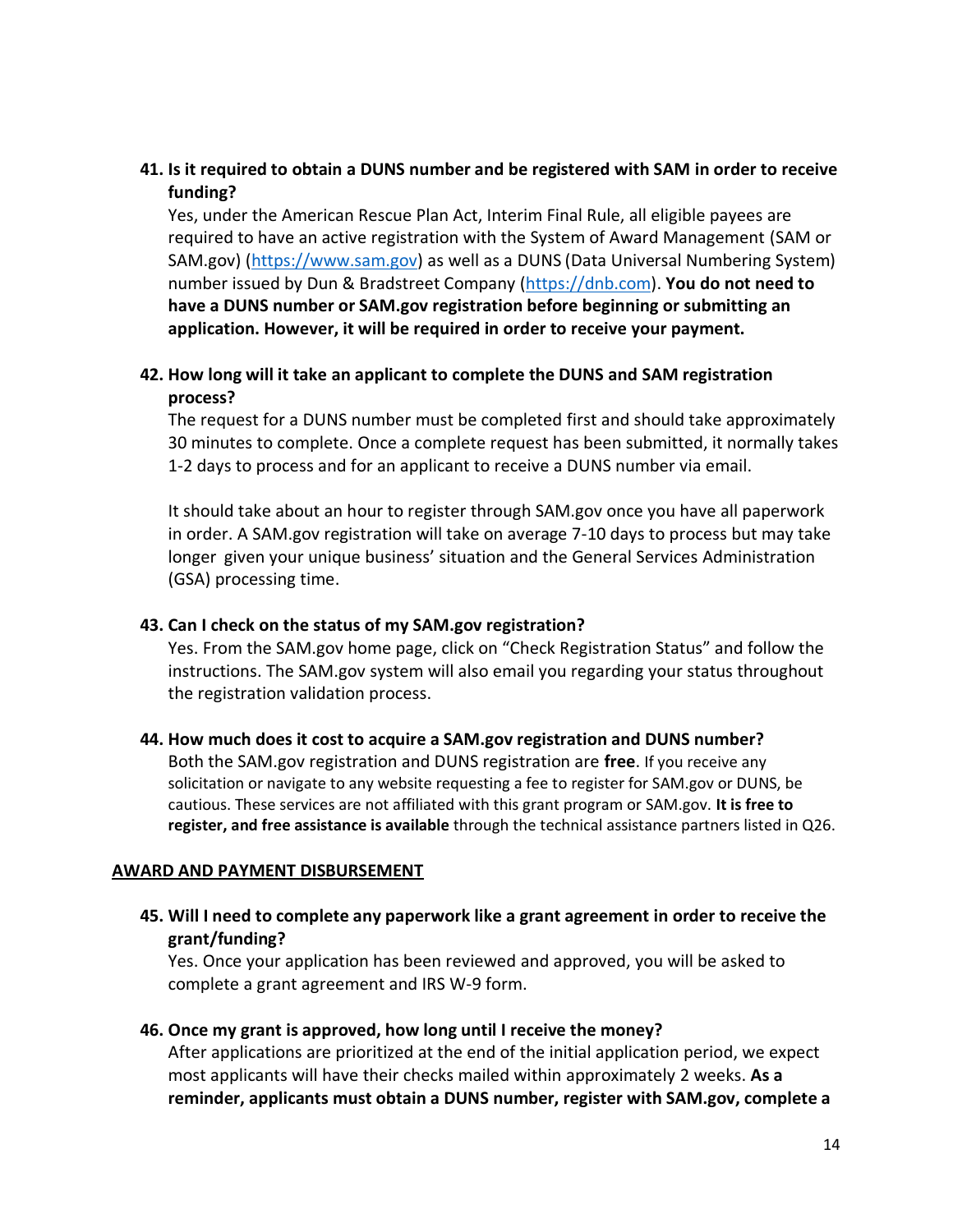# **41. Is it required to obtain a DUNS number and be registered with SAM in order to receive funding?**

Yes, under the American Rescue Plan Act, Interim Final Rule, all eligible payees are required to have an active registration with the System of Award Management (SAM or SAM.gov) [\(https://www.sam.gov\)](https://www.sam.gov/) as well as a DUNS (Data Universal Numbering System) number issued by Dun & Bradstreet Company [\(https://dnb.com\)](https://dnb.com/). **You do not need to have a DUNS number or SAM.gov registration before beginning or submitting an application. However, it will be required in order to receive your payment.**

# **42. How long will it take an applicant to complete the DUNS and SAM registration process?**

The request for a DUNS number must be completed first and should take approximately 30 minutes to complete. Once a complete request has been submitted, it normally takes 1-2 days to process and for an applicant to receive a DUNS number via email.

It should take about an hour to register through SAM.gov once you have all paperwork in order. A SAM.gov registration will take on average 7-10 days to process but may take longer given your unique business' situation and the General Services Administration (GSA) processing time.

### **43. Can I check on the status of my SAM.gov registration?**

Yes. From the SAM.gov home page, click on "Check Registration Status" and follow the instructions. The SAM.gov system will also email you regarding your status throughout the registration validation process.

#### **44. How much does it cost to acquire a SAM.gov registration and DUNS number?**

Both the SAM.gov registration and DUNS registration are **free**. If you receive any solicitation or navigate to any website requesting a fee to register for SAM.gov or DUNS, be cautious. These services are not affiliated with this grant program or SAM.gov. **It is free to register, and free assistance is available** through the technical assistance partners listed in Q26.

#### **AWARD AND PAYMENT DISBURSEMENT**

# **45. Will I need to complete any paperwork like a grant agreement in order to receive the grant/funding?**

Yes. Once your application has been reviewed and approved, you will be asked to complete a grant agreement and IRS W-9 form.

#### **46. Once my grant is approved, how long until I receive the money?**

After applications are prioritized at the end of the initial application period, we expect most applicants will have their checks mailed within approximately 2 weeks. **As a reminder, applicants must obtain a DUNS number, register with SAM.gov, complete a**